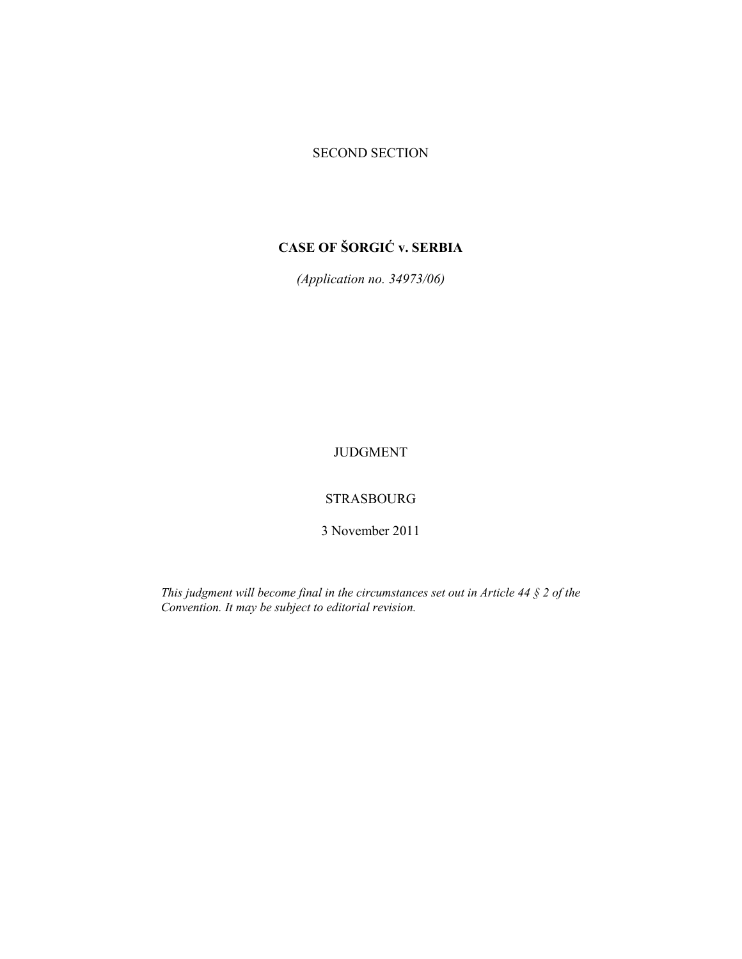### SECOND SECTION

# **CASE OF ŠORGIĆ v. SERBIA**

*(Application no. 34973/06)* 

JUDGMENT

## STRASBOURG

3 November 2011

*This judgment will become final in the circumstances set out in Article 44 § 2 of the Convention. It may be subject to editorial revision.*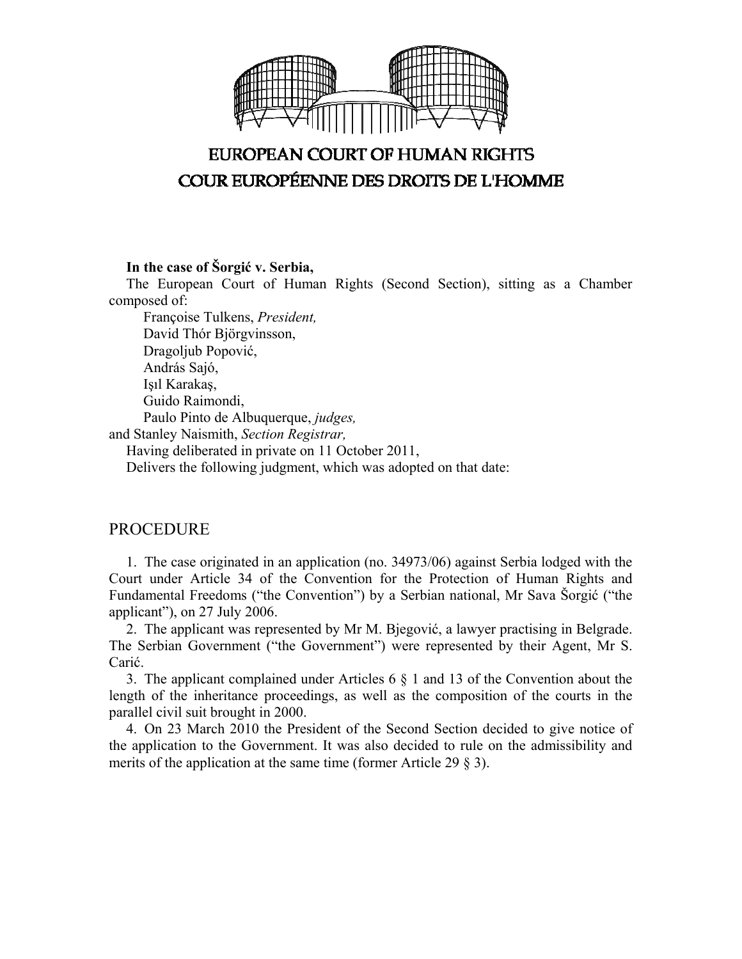

# **EUROPEAN COURT OF HUMAN RIGHTS COUR EUROPÉENNE DES DROITS DE L'HOMME**

**In the case of Šorgić v. Serbia,** 

The European Court of Human Rights (Second Section), sitting as a Chamber composed of:

 Françoise Tulkens, *President,*  David Thór Björgvinsson, Dragoljub Popović, András Sajó, Işıl Karakaş, Guido Raimondi, Paulo Pinto de Albuquerque, *judges,* and Stanley Naismith, *Section Registrar,* Having deliberated in private on 11 October 2011,

Delivers the following judgment, which was adopted on that date:

## PROCEDURE

1. The case originated in an application (no. 34973/06) against Serbia lodged with the Court under Article 34 of the Convention for the Protection of Human Rights and Fundamental Freedoms ("the Convention") by a Serbian national, Mr Sava Šorgić ("the applicant"), on 27 July 2006.

2. The applicant was represented by Mr M. Bjegović, a lawyer practising in Belgrade. The Serbian Government ("the Government") were represented by their Agent, Mr S. Carić.

3. The applicant complained under Articles 6 § 1 and 13 of the Convention about the length of the inheritance proceedings, as well as the composition of the courts in the parallel civil suit brought in 2000.

4. On 23 March 2010 the President of the Second Section decided to give notice of the application to the Government. It was also decided to rule on the admissibility and merits of the application at the same time (former Article 29 § 3).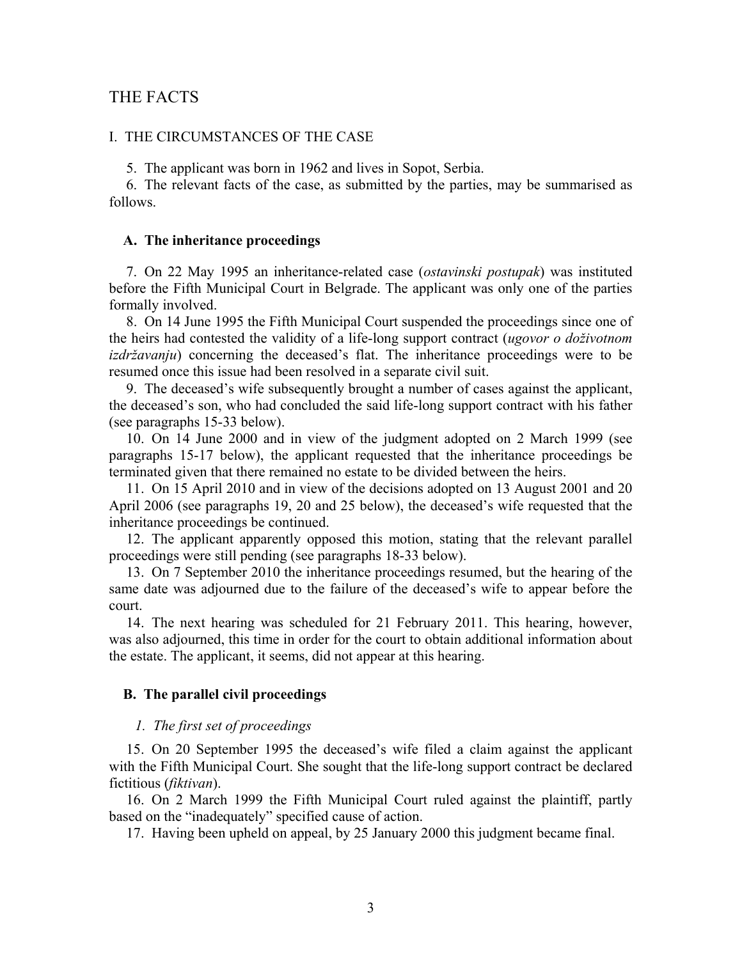## THE FACTS

#### I. THE CIRCUMSTANCES OF THE CASE

5. The applicant was born in 1962 and lives in Sopot, Serbia.

6. The relevant facts of the case, as submitted by the parties, may be summarised as follows.

#### **A. The inheritance proceedings**

7. On 22 May 1995 an inheritance-related case (*ostavinski postupak*) was instituted before the Fifth Municipal Court in Belgrade. The applicant was only one of the parties formally involved.

8. On 14 June 1995 the Fifth Municipal Court suspended the proceedings since one of the heirs had contested the validity of a life-long support contract (*ugovor o doživotnom izdržavanju*) concerning the deceased's flat. The inheritance proceedings were to be resumed once this issue had been resolved in a separate civil suit.

9. The deceased's wife subsequently brought a number of cases against the applicant, the deceased's son, who had concluded the said life-long support contract with his father (see paragraphs 15-33 below).

10. On 14 June 2000 and in view of the judgment adopted on 2 March 1999 (see paragraphs 15-17 below), the applicant requested that the inheritance proceedings be terminated given that there remained no estate to be divided between the heirs.

11. On 15 April 2010 and in view of the decisions adopted on 13 August 2001 and 20 April 2006 (see paragraphs 19, 20 and 25 below), the deceased's wife requested that the inheritance proceedings be continued.

12. The applicant apparently opposed this motion, stating that the relevant parallel proceedings were still pending (see paragraphs 18-33 below).

13. On 7 September 2010 the inheritance proceedings resumed, but the hearing of the same date was adjourned due to the failure of the deceased's wife to appear before the court.

14. The next hearing was scheduled for 21 February 2011. This hearing, however, was also adjourned, this time in order for the court to obtain additional information about the estate. The applicant, it seems, did not appear at this hearing.

#### **B. The parallel civil proceedings**

#### *1. The first set of proceedings*

15. On 20 September 1995 the deceased's wife filed a claim against the applicant with the Fifth Municipal Court. She sought that the life-long support contract be declared fictitious (*fiktivan*).

16. On 2 March 1999 the Fifth Municipal Court ruled against the plaintiff, partly based on the "inadequately" specified cause of action.

17. Having been upheld on appeal, by 25 January 2000 this judgment became final.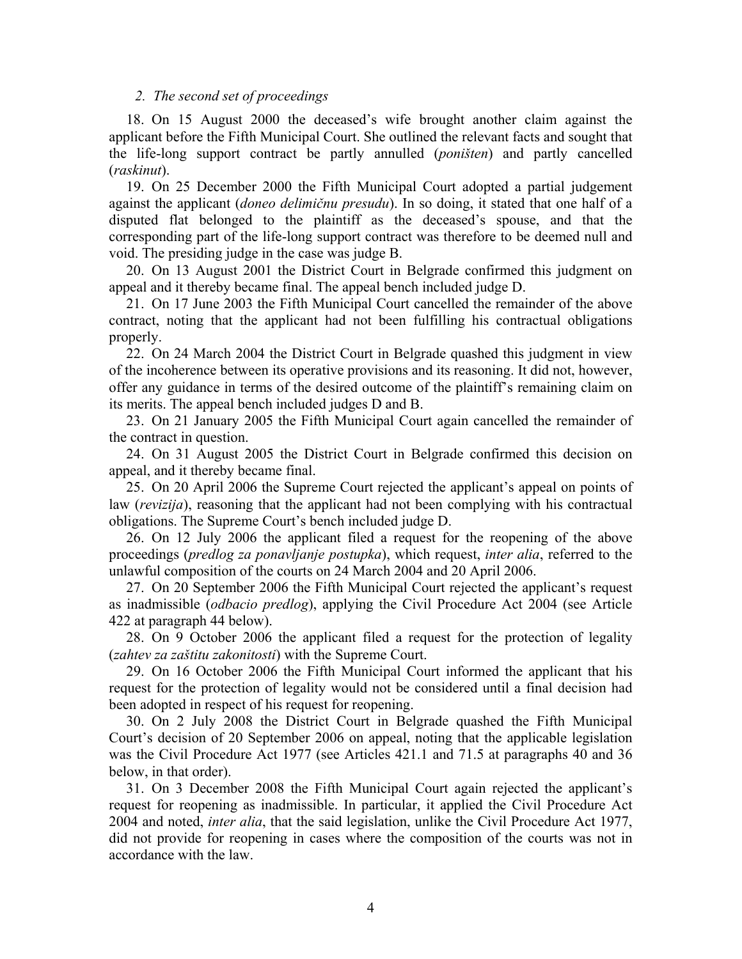#### *2. The second set of proceedings*

18. On 15 August 2000 the deceased's wife brought another claim against the applicant before the Fifth Municipal Court. She outlined the relevant facts and sought that the life-long support contract be partly annulled (*poništen*) and partly cancelled (*raskinut*).

19. On 25 December 2000 the Fifth Municipal Court adopted a partial judgement against the applicant (*doneo delimičnu presudu*). In so doing, it stated that one half of a disputed flat belonged to the plaintiff as the deceased's spouse, and that the corresponding part of the life-long support contract was therefore to be deemed null and void. The presiding judge in the case was judge B.

20. On 13 August 2001 the District Court in Belgrade confirmed this judgment on appeal and it thereby became final. The appeal bench included judge D.

21. On 17 June 2003 the Fifth Municipal Court cancelled the remainder of the above contract, noting that the applicant had not been fulfilling his contractual obligations properly.

22. On 24 March 2004 the District Court in Belgrade quashed this judgment in view of the incoherence between its operative provisions and its reasoning. It did not, however, offer any guidance in terms of the desired outcome of the plaintiff's remaining claim on its merits. The appeal bench included judges D and B.

23. On 21 January 2005 the Fifth Municipal Court again cancelled the remainder of the contract in question.

24. On 31 August 2005 the District Court in Belgrade confirmed this decision on appeal, and it thereby became final.

25. On 20 April 2006 the Supreme Court rejected the applicant's appeal on points of law (*revizija*), reasoning that the applicant had not been complying with his contractual obligations. The Supreme Court's bench included judge D.

26. On 12 July 2006 the applicant filed a request for the reopening of the above proceedings (*predlog za ponavljanje postupka*), which request, *inter alia*, referred to the unlawful composition of the courts on 24 March 2004 and 20 April 2006.

27. On 20 September 2006 the Fifth Municipal Court rejected the applicant's request as inadmissible (*odbacio predlog*), applying the Civil Procedure Act 2004 (see Article 422 at paragraph 44 below).

28. On 9 October 2006 the applicant filed a request for the protection of legality (*zahtev za zaštitu zakonitosti*) with the Supreme Court.

29. On 16 October 2006 the Fifth Municipal Court informed the applicant that his request for the protection of legality would not be considered until a final decision had been adopted in respect of his request for reopening.

30. On 2 July 2008 the District Court in Belgrade quashed the Fifth Municipal Court's decision of 20 September 2006 on appeal, noting that the applicable legislation was the Civil Procedure Act 1977 (see Articles 421.1 and 71.5 at paragraphs 40 and 36 below, in that order).

31. On 3 December 2008 the Fifth Municipal Court again rejected the applicant's request for reopening as inadmissible. In particular, it applied the Civil Procedure Act 2004 and noted, *inter alia*, that the said legislation, unlike the Civil Procedure Act 1977, did not provide for reopening in cases where the composition of the courts was not in accordance with the law.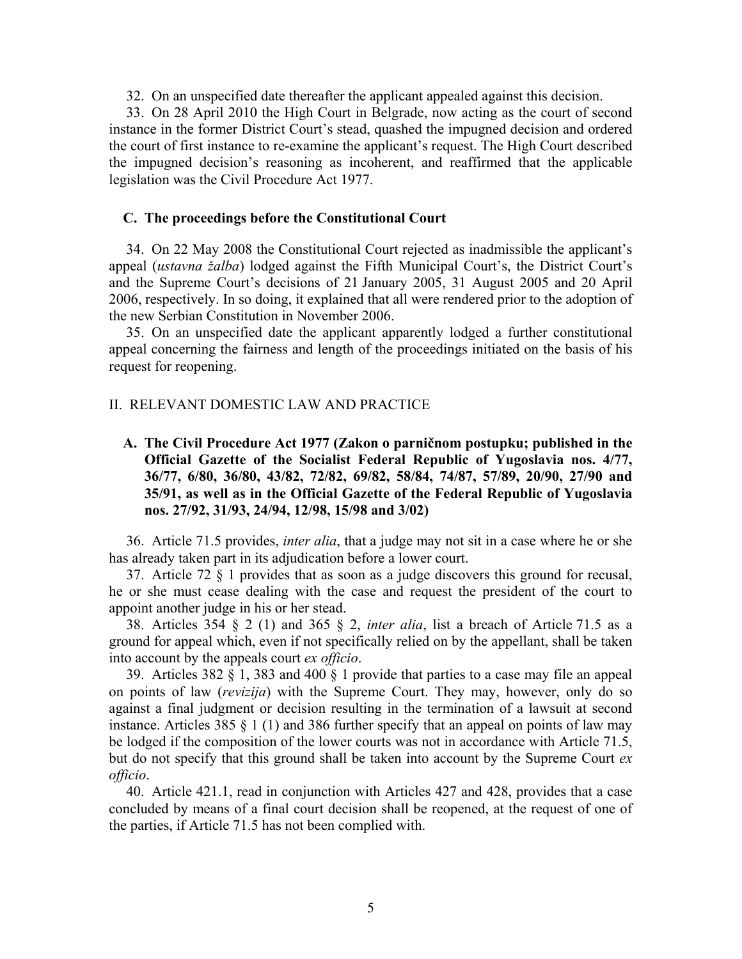32. On an unspecified date thereafter the applicant appealed against this decision.

33. On 28 April 2010 the High Court in Belgrade, now acting as the court of second instance in the former District Court's stead, quashed the impugned decision and ordered the court of first instance to re-examine the applicant's request. The High Court described the impugned decision's reasoning as incoherent, and reaffirmed that the applicable legislation was the Civil Procedure Act 1977.

#### **C. The proceedings before the Constitutional Court**

34. On 22 May 2008 the Constitutional Court rejected as inadmissible the applicant's appeal (*ustavna žalba*) lodged against the Fifth Municipal Court's, the District Court's and the Supreme Court's decisions of 21 January 2005, 31 August 2005 and 20 April 2006, respectively. In so doing, it explained that all were rendered prior to the adoption of the new Serbian Constitution in November 2006.

35. On an unspecified date the applicant apparently lodged a further constitutional appeal concerning the fairness and length of the proceedings initiated on the basis of his request for reopening.

#### II. RELEVANT DOMESTIC LAW AND PRACTICE

**A. The Civil Procedure Act 1977 (Zakon o parničnom postupku; published in the Official Gazette of the Socialist Federal Republic of Yugoslavia nos. 4/77, 36/77, 6/80, 36/80, 43/82, 72/82, 69/82, 58/84, 74/87, 57/89, 20/90, 27/90 and 35/91, as well as in the Official Gazette of the Federal Republic of Yugoslavia nos. 27/92, 31/93, 24/94, 12/98, 15/98 and 3/02)** 

36. Article 71.5 provides, *inter alia*, that a judge may not sit in a case where he or she has already taken part in its adjudication before a lower court.

37. Article 72 § 1 provides that as soon as a judge discovers this ground for recusal, he or she must cease dealing with the case and request the president of the court to appoint another judge in his or her stead.

38. Articles 354 § 2 (1) and 365 § 2, *inter alia*, list a breach of Article 71.5 as a ground for appeal which, even if not specifically relied on by the appellant, shall be taken into account by the appeals court *ex officio*.

39. Articles 382 § 1, 383 and 400 § 1 provide that parties to a case may file an appeal on points of law (*revizija*) with the Supreme Court. They may, however, only do so against a final judgment or decision resulting in the termination of a lawsuit at second instance. Articles 385  $\S$  1 (1) and 386 further specify that an appeal on points of law may be lodged if the composition of the lower courts was not in accordance with Article 71.5, but do not specify that this ground shall be taken into account by the Supreme Court *ex officio*.

40. Article 421.1, read in conjunction with Articles 427 and 428, provides that a case concluded by means of a final court decision shall be reopened, at the request of one of the parties, if Article 71.5 has not been complied with.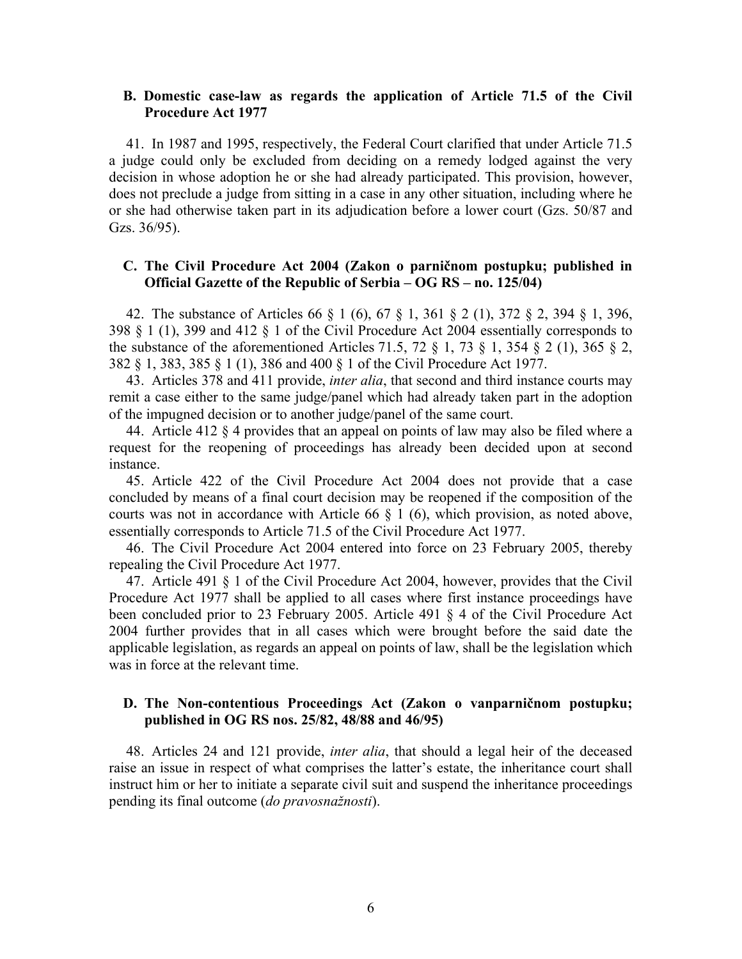## **B. Domestic case-law as regards the application of Article 71.5 of the Civil Procedure Act 1977**

41. In 1987 and 1995, respectively, the Federal Court clarified that under Article 71.5 a judge could only be excluded from deciding on a remedy lodged against the very decision in whose adoption he or she had already participated. This provision, however, does not preclude a judge from sitting in a case in any other situation, including where he or she had otherwise taken part in its adjudication before a lower court (Gzs. 50/87 and Gzs. 36/95).

### **C. The Civil Procedure Act 2004 (Zakon o parničnom postupku; published in Official Gazette of the Republic of Serbia – OG RS – no. 125/04)**

42. The substance of Articles 66 § 1 (6), 67 § 1, 361 § 2 (1), 372 § 2, 394 § 1, 396, 398 § 1 (1), 399 and 412 § 1 of the Civil Procedure Act 2004 essentially corresponds to the substance of the aforementioned Articles 71.5, 72  $\S$  1, 73  $\S$  1, 354  $\S$  2 (1), 365  $\S$  2, 382 § 1, 383, 385 § 1 (1), 386 and 400 § 1 of the Civil Procedure Act 1977.

43. Articles 378 and 411 provide, *inter alia*, that second and third instance courts may remit a case either to the same judge/panel which had already taken part in the adoption of the impugned decision or to another judge/panel of the same court.

44. Article 412 § 4 provides that an appeal on points of law may also be filed where a request for the reopening of proceedings has already been decided upon at second instance.

45. Article 422 of the Civil Procedure Act 2004 does not provide that a case concluded by means of a final court decision may be reopened if the composition of the courts was not in accordance with Article  $66 \& 1\ (6)$ , which provision, as noted above, essentially corresponds to Article 71.5 of the Civil Procedure Act 1977.

46. The Civil Procedure Act 2004 entered into force on 23 February 2005, thereby repealing the Civil Procedure Act 1977.

47. Article 491 § 1 of the Civil Procedure Act 2004, however, provides that the Civil Procedure Act 1977 shall be applied to all cases where first instance proceedings have been concluded prior to 23 February 2005. Article 491 § 4 of the Civil Procedure Act 2004 further provides that in all cases which were brought before the said date the applicable legislation, as regards an appeal on points of law, shall be the legislation which was in force at the relevant time.

#### **D. The Non-contentious Proceedings Act (Zakon o vanparničnom postupku; published in OG RS nos. 25/82, 48/88 and 46/95)**

48. Articles 24 and 121 provide, *inter alia*, that should a legal heir of the deceased raise an issue in respect of what comprises the latter's estate, the inheritance court shall instruct him or her to initiate a separate civil suit and suspend the inheritance proceedings pending its final outcome (*do pravosnažnosti*).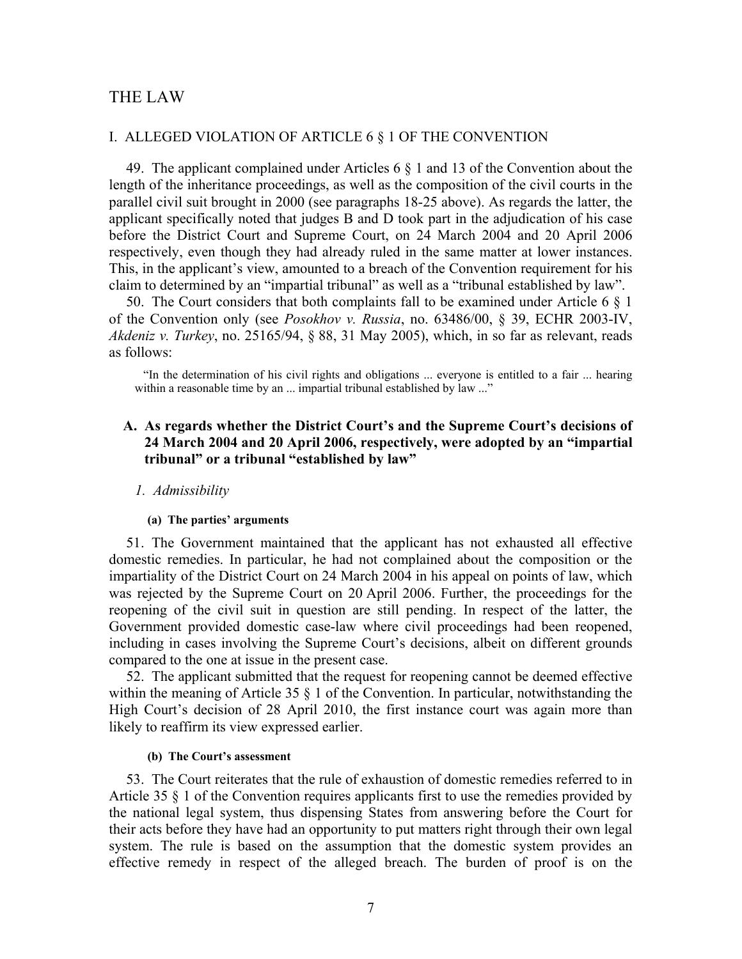## THE LAW

#### I. ALLEGED VIOLATION OF ARTICLE 6 § 1 OF THE CONVENTION

49. The applicant complained under Articles 6 § 1 and 13 of the Convention about the length of the inheritance proceedings, as well as the composition of the civil courts in the parallel civil suit brought in 2000 (see paragraphs 18-25 above). As regards the latter, the applicant specifically noted that judges B and D took part in the adjudication of his case before the District Court and Supreme Court, on 24 March 2004 and 20 April 2006 respectively, even though they had already ruled in the same matter at lower instances. This, in the applicant's view, amounted to a breach of the Convention requirement for his claim to determined by an "impartial tribunal" as well as a "tribunal established by law".

50. The Court considers that both complaints fall to be examined under Article 6 § 1 of the Convention only (see *Posokhov v. Russia*, no. 63486/00, § 39, ECHR 2003-IV, *Akdeniz v. Turkey*, no. 25165/94, § 88, 31 May 2005), which, in so far as relevant, reads as follows:

"In the determination of his civil rights and obligations ... everyone is entitled to a fair ... hearing within a reasonable time by an ... impartial tribunal established by law ..."

## **A. As regards whether the District Court's and the Supreme Court's decisions of 24 March 2004 and 20 April 2006, respectively, were adopted by an "impartial tribunal" or a tribunal "established by law"**

#### *1. Admissibility*

#### **(a) The parties' arguments**

51. The Government maintained that the applicant has not exhausted all effective domestic remedies. In particular, he had not complained about the composition or the impartiality of the District Court on 24 March 2004 in his appeal on points of law, which was rejected by the Supreme Court on 20 April 2006. Further, the proceedings for the reopening of the civil suit in question are still pending. In respect of the latter, the Government provided domestic case-law where civil proceedings had been reopened, including in cases involving the Supreme Court's decisions, albeit on different grounds compared to the one at issue in the present case.

52. The applicant submitted that the request for reopening cannot be deemed effective within the meaning of Article 35  $\S$  1 of the Convention. In particular, notwithstanding the High Court's decision of 28 April 2010, the first instance court was again more than likely to reaffirm its view expressed earlier.

#### **(b) The Court's assessment**

53. The Court reiterates that the rule of exhaustion of domestic remedies referred to in Article 35 § 1 of the Convention requires applicants first to use the remedies provided by the national legal system, thus dispensing States from answering before the Court for their acts before they have had an opportunity to put matters right through their own legal system. The rule is based on the assumption that the domestic system provides an effective remedy in respect of the alleged breach. The burden of proof is on the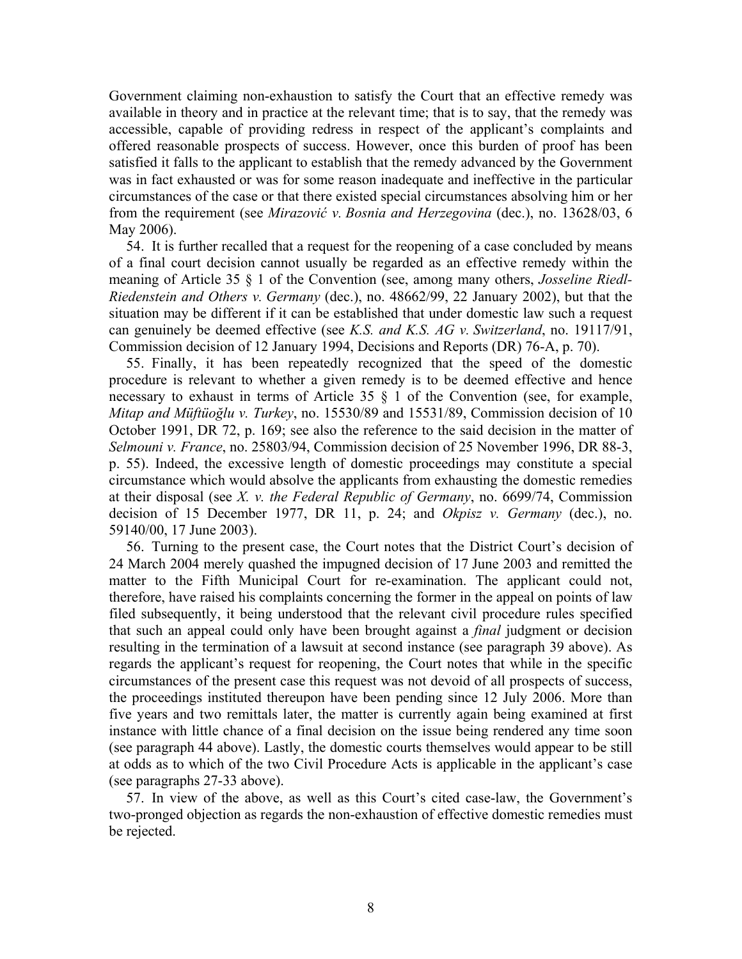Government claiming non-exhaustion to satisfy the Court that an effective remedy was available in theory and in practice at the relevant time; that is to say, that the remedy was accessible, capable of providing redress in respect of the applicant's complaints and offered reasonable prospects of success. However, once this burden of proof has been satisfied it falls to the applicant to establish that the remedy advanced by the Government was in fact exhausted or was for some reason inadequate and ineffective in the particular circumstances of the case or that there existed special circumstances absolving him or her from the requirement (see *Mirazović v. Bosnia and Herzegovina* (dec.), no. 13628/03, 6 May 2006).

54. It is further recalled that a request for the reopening of a case concluded by means of a final court decision cannot usually be regarded as an effective remedy within the meaning of Article 35 § 1 of the Convention (see, among many others, *Josseline Riedl-Riedenstein and Others v. Germany* (dec.), no. 48662/99, 22 January 2002), but that the situation may be different if it can be established that under domestic law such a request can genuinely be deemed effective (see *K.S. and K.S. AG v. Switzerland*, no. 19117/91, Commission decision of 12 January 1994, Decisions and Reports (DR) 76-A, p. 70).

55. Finally, it has been repeatedly recognized that the speed of the domestic procedure is relevant to whether a given remedy is to be deemed effective and hence necessary to exhaust in terms of Article 35 § 1 of the Convention (see, for example, *Mitap and Müftüoğlu v. Turkey*, no. 15530/89 and 15531/89, Commission decision of 10 October 1991, DR 72, p. 169; see also the reference to the said decision in the matter of *Selmouni v. France*, no. 25803/94, Commission decision of 25 November 1996, DR 88-3, p. 55). Indeed, the excessive length of domestic proceedings may constitute a special circumstance which would absolve the applicants from exhausting the domestic remedies at their disposal (see *X. v. the Federal Republic of Germany*, no. 6699/74, Commission decision of 15 December 1977, DR 11, p. 24; and *Okpisz v. Germany* (dec.), no. 59140/00, 17 June 2003).

56. Turning to the present case, the Court notes that the District Court's decision of 24 March 2004 merely quashed the impugned decision of 17 June 2003 and remitted the matter to the Fifth Municipal Court for re-examination. The applicant could not, therefore, have raised his complaints concerning the former in the appeal on points of law filed subsequently, it being understood that the relevant civil procedure rules specified that such an appeal could only have been brought against a *final* judgment or decision resulting in the termination of a lawsuit at second instance (see paragraph 39 above). As regards the applicant's request for reopening, the Court notes that while in the specific circumstances of the present case this request was not devoid of all prospects of success, the proceedings instituted thereupon have been pending since 12 July 2006. More than five years and two remittals later, the matter is currently again being examined at first instance with little chance of a final decision on the issue being rendered any time soon (see paragraph 44 above). Lastly, the domestic courts themselves would appear to be still at odds as to which of the two Civil Procedure Acts is applicable in the applicant's case (see paragraphs 27-33 above).

57. In view of the above, as well as this Court's cited case-law, the Government's two-pronged objection as regards the non-exhaustion of effective domestic remedies must be rejected.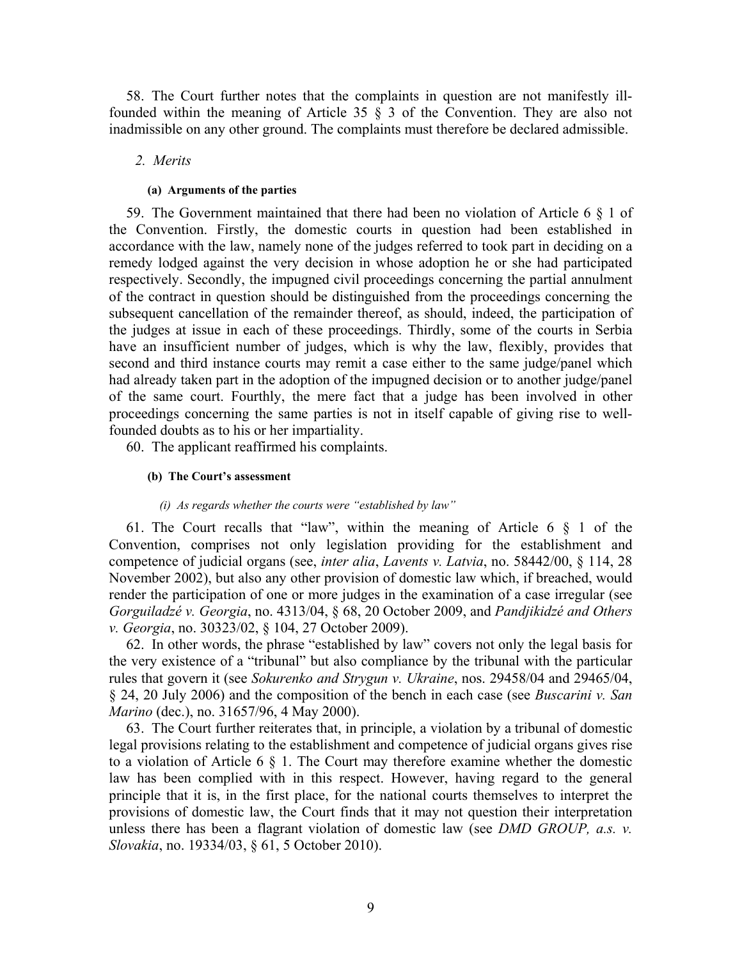58. The Court further notes that the complaints in question are not manifestly illfounded within the meaning of Article 35 § 3 of the Convention. They are also not inadmissible on any other ground. The complaints must therefore be declared admissible.

#### *2. Merits*

#### **(a) Arguments of the parties**

59. The Government maintained that there had been no violation of Article 6 § 1 of the Convention. Firstly, the domestic courts in question had been established in accordance with the law, namely none of the judges referred to took part in deciding on a remedy lodged against the very decision in whose adoption he or she had participated respectively. Secondly, the impugned civil proceedings concerning the partial annulment of the contract in question should be distinguished from the proceedings concerning the subsequent cancellation of the remainder thereof, as should, indeed, the participation of the judges at issue in each of these proceedings. Thirdly, some of the courts in Serbia have an insufficient number of judges, which is why the law, flexibly, provides that second and third instance courts may remit a case either to the same judge/panel which had already taken part in the adoption of the impugned decision or to another judge/panel of the same court. Fourthly, the mere fact that a judge has been involved in other proceedings concerning the same parties is not in itself capable of giving rise to wellfounded doubts as to his or her impartiality.

60. The applicant reaffirmed his complaints.

#### **(b) The Court's assessment**

#### *(i) As regards whether the courts were "established by law"*

61. The Court recalls that "law", within the meaning of Article 6 § 1 of the Convention, comprises not only legislation providing for the establishment and competence of judicial organs (see, *inter alia*, *Lavents v. Latvia*, no. 58442/00, § 114, 28 November 2002), but also any other provision of domestic law which, if breached, would render the participation of one or more judges in the examination of a case irregular (see *Gorguiladzé v. Georgia*, no. 4313/04, § 68, 20 October 2009, and *Pandjikidzé and Others v. Georgia*, no. 30323/02, § 104, 27 October 2009).

62. In other words, the phrase "established by law" covers not only the legal basis for the very existence of a "tribunal" but also compliance by the tribunal with the particular rules that govern it (see *Sokurenko and Strygun v. Ukraine*, nos. 29458/04 and 29465/04, § 24, 20 July 2006) and the composition of the bench in each case (see *Buscarini v. San Marino* (dec.), no. 31657/96, 4 May 2000).

63. The Court further reiterates that, in principle, a violation by a tribunal of domestic legal provisions relating to the establishment and competence of judicial organs gives rise to a violation of Article 6 § 1. The Court may therefore examine whether the domestic law has been complied with in this respect. However, having regard to the general principle that it is, in the first place, for the national courts themselves to interpret the provisions of domestic law, the Court finds that it may not question their interpretation unless there has been a flagrant violation of domestic law (see *DMD GROUP, a.s. v. Slovakia*, no. 19334/03, § 61, 5 October 2010).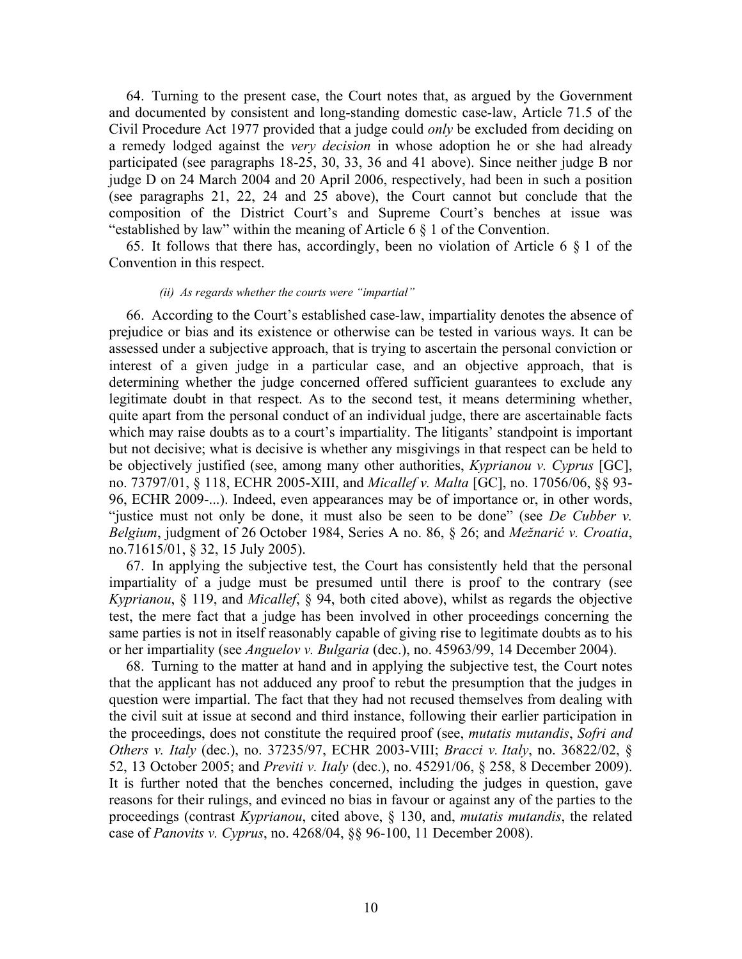64. Turning to the present case, the Court notes that, as argued by the Government and documented by consistent and long-standing domestic case-law, Article 71.5 of the Civil Procedure Act 1977 provided that a judge could *only* be excluded from deciding on a remedy lodged against the *very decision* in whose adoption he or she had already participated (see paragraphs 18-25, 30, 33, 36 and 41 above). Since neither judge B nor judge D on 24 March 2004 and 20 April 2006, respectively, had been in such a position (see paragraphs 21, 22, 24 and 25 above), the Court cannot but conclude that the composition of the District Court's and Supreme Court's benches at issue was "established by law" within the meaning of Article 6 § 1 of the Convention.

65. It follows that there has, accordingly, been no violation of Article 6 § 1 of the Convention in this respect.

#### *(ii) As regards whether the courts were "impartial"*

66. According to the Court's established case-law, impartiality denotes the absence of prejudice or bias and its existence or otherwise can be tested in various ways. It can be assessed under a subjective approach, that is trying to ascertain the personal conviction or interest of a given judge in a particular case, and an objective approach, that is determining whether the judge concerned offered sufficient guarantees to exclude any legitimate doubt in that respect. As to the second test, it means determining whether, quite apart from the personal conduct of an individual judge, there are ascertainable facts which may raise doubts as to a court's impartiality. The litigants' standpoint is important but not decisive; what is decisive is whether any misgivings in that respect can be held to be objectively justified (see, among many other authorities, *Kyprianou v. Cyprus* [GC], no. 73797/01, § 118, ECHR 2005-XIII, and *Micallef v. Malta* [GC], no. 17056/06, §§ 93- 96, ECHR 2009-...). Indeed, even appearances may be of importance or, in other words, "justice must not only be done, it must also be seen to be done" (see *De Cubber v. Belgium*, judgment of 26 October 1984, Series A no. 86, § 26; and *Mežnarić v. Croatia*, no.71615/01, § 32, 15 July 2005).

67. In applying the subjective test, the Court has consistently held that the personal impartiality of a judge must be presumed until there is proof to the contrary (see *Kyprianou*, § 119, and *Micallef*, § 94, both cited above), whilst as regards the objective test, the mere fact that a judge has been involved in other proceedings concerning the same parties is not in itself reasonably capable of giving rise to legitimate doubts as to his or her impartiality (see *Anguelov v. Bulgaria* (dec.), no. 45963/99, 14 December 2004).

68. Turning to the matter at hand and in applying the subjective test, the Court notes that the applicant has not adduced any proof to rebut the presumption that the judges in question were impartial. The fact that they had not recused themselves from dealing with the civil suit at issue at second and third instance, following their earlier participation in the proceedings, does not constitute the required proof (see, *mutatis mutandis*, *Sofri and Others v. Italy* (dec.), no. 37235/97, ECHR 2003-VIII; *Bracci v. Italy*, no. 36822/02, § 52, 13 October 2005; and *Previti v. Italy* (dec.), no. 45291/06, § 258, 8 December 2009). It is further noted that the benches concerned, including the judges in question, gave reasons for their rulings, and evinced no bias in favour or against any of the parties to the proceedings (contrast *Kyprianou*, cited above, § 130, and, *mutatis mutandis*, the related case of *Panovits v. Cyprus*, no. 4268/04, §§ 96-100, 11 December 2008).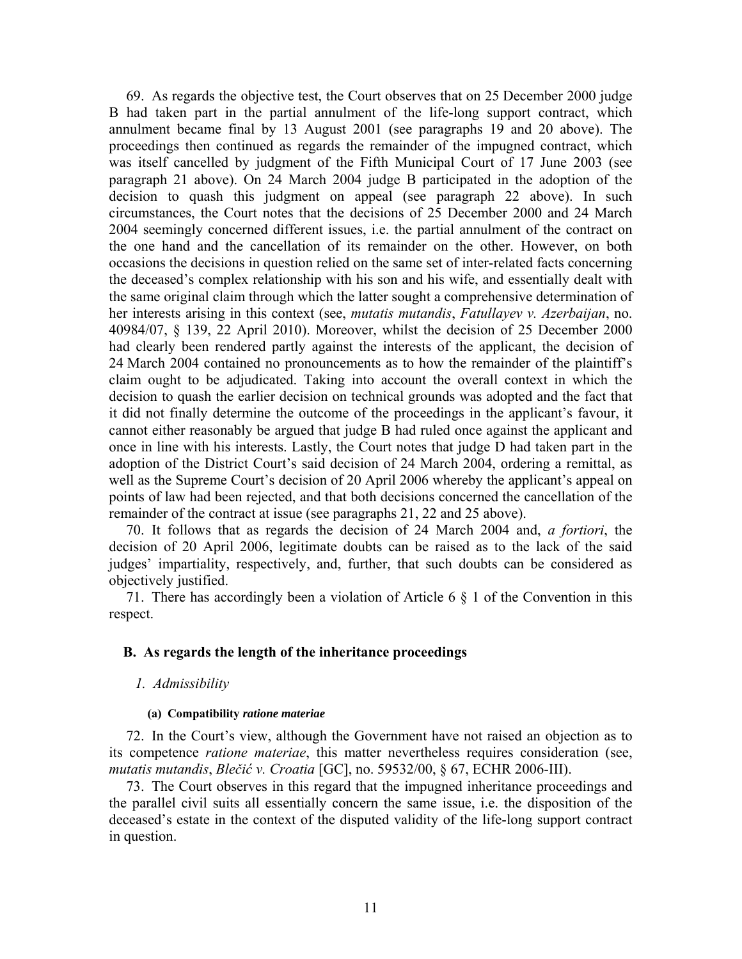69. As regards the objective test, the Court observes that on 25 December 2000 judge B had taken part in the partial annulment of the life-long support contract, which annulment became final by 13 August 2001 (see paragraphs 19 and 20 above). The proceedings then continued as regards the remainder of the impugned contract, which was itself cancelled by judgment of the Fifth Municipal Court of 17 June 2003 (see paragraph 21 above). On 24 March 2004 judge B participated in the adoption of the decision to quash this judgment on appeal (see paragraph 22 above). In such circumstances, the Court notes that the decisions of 25 December 2000 and 24 March 2004 seemingly concerned different issues, i.e. the partial annulment of the contract on the one hand and the cancellation of its remainder on the other. However, on both occasions the decisions in question relied on the same set of inter-related facts concerning the deceased's complex relationship with his son and his wife, and essentially dealt with the same original claim through which the latter sought a comprehensive determination of her interests arising in this context (see, *mutatis mutandis*, *Fatullayev v. Azerbaijan*, no. 40984/07, § 139, 22 April 2010). Moreover, whilst the decision of 25 December 2000 had clearly been rendered partly against the interests of the applicant, the decision of 24 March 2004 contained no pronouncements as to how the remainder of the plaintiff's claim ought to be adjudicated. Taking into account the overall context in which the decision to quash the earlier decision on technical grounds was adopted and the fact that it did not finally determine the outcome of the proceedings in the applicant's favour, it cannot either reasonably be argued that judge B had ruled once against the applicant and once in line with his interests. Lastly, the Court notes that judge D had taken part in the adoption of the District Court's said decision of 24 March 2004, ordering a remittal, as well as the Supreme Court's decision of 20 April 2006 whereby the applicant's appeal on points of law had been rejected, and that both decisions concerned the cancellation of the remainder of the contract at issue (see paragraphs 21, 22 and 25 above).

70. It follows that as regards the decision of 24 March 2004 and, *a fortiori*, the decision of 20 April 2006, legitimate doubts can be raised as to the lack of the said judges' impartiality, respectively, and, further, that such doubts can be considered as objectively justified.

71. There has accordingly been a violation of Article 6 § 1 of the Convention in this respect.

#### **B. As regards the length of the inheritance proceedings**

#### *1. Admissibility*

#### **(a) Compatibility** *ratione materiae*

72. In the Court's view, although the Government have not raised an objection as to its competence *ratione materiae*, this matter nevertheless requires consideration (see, *mutatis mutandis*, *Blečić v. Croatia* [GC], no. 59532/00, § 67, ECHR 2006-III).

73. The Court observes in this regard that the impugned inheritance proceedings and the parallel civil suits all essentially concern the same issue, i.e. the disposition of the deceased's estate in the context of the disputed validity of the life-long support contract in question.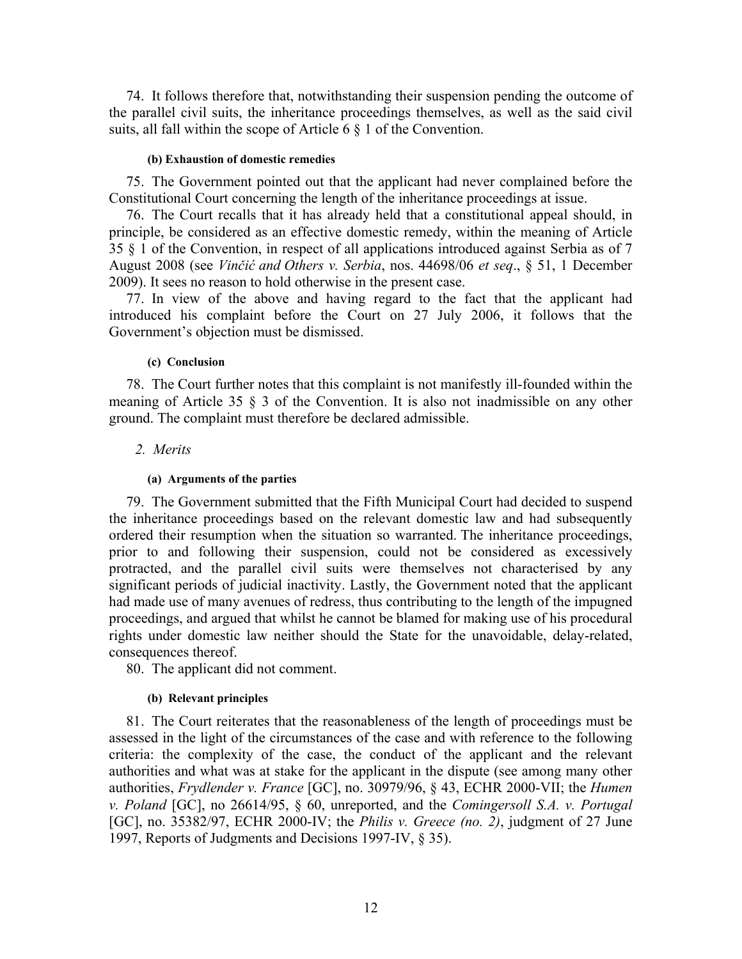74. It follows therefore that, notwithstanding their suspension pending the outcome of the parallel civil suits, the inheritance proceedings themselves, as well as the said civil suits, all fall within the scope of Article 6 § 1 of the Convention.

#### **(b) Exhaustion of domestic remedies**

75. The Government pointed out that the applicant had never complained before the Constitutional Court concerning the length of the inheritance proceedings at issue.

76. The Court recalls that it has already held that a constitutional appeal should, in principle, be considered as an effective domestic remedy, within the meaning of Article 35 § 1 of the Convention, in respect of all applications introduced against Serbia as of 7 August 2008 (see *Vinčić and Others v. Serbia*, nos. 44698/06 *et seq*., § 51, 1 December 2009). It sees no reason to hold otherwise in the present case.

77. In view of the above and having regard to the fact that the applicant had introduced his complaint before the Court on 27 July 2006, it follows that the Government's objection must be dismissed.

#### **(c) Conclusion**

78. The Court further notes that this complaint is not manifestly ill-founded within the meaning of Article 35 § 3 of the Convention. It is also not inadmissible on any other ground. The complaint must therefore be declared admissible.

## *2. Merits*

## **(a) Arguments of the parties**

79. The Government submitted that the Fifth Municipal Court had decided to suspend the inheritance proceedings based on the relevant domestic law and had subsequently ordered their resumption when the situation so warranted. The inheritance proceedings, prior to and following their suspension, could not be considered as excessively protracted, and the parallel civil suits were themselves not characterised by any significant periods of judicial inactivity. Lastly, the Government noted that the applicant had made use of many avenues of redress, thus contributing to the length of the impugned proceedings, and argued that whilst he cannot be blamed for making use of his procedural rights under domestic law neither should the State for the unavoidable, delay-related, consequences thereof.

80. The applicant did not comment.

## **(b) Relevant principles**

81. The Court reiterates that the reasonableness of the length of proceedings must be assessed in the light of the circumstances of the case and with reference to the following criteria: the complexity of the case, the conduct of the applicant and the relevant authorities and what was at stake for the applicant in the dispute (see among many other authorities, *Frydlender v. France* [GC], no. 30979/96, § 43, ECHR 2000-VII; the *Humen v. Poland* [GC], no 26614/95, § 60, unreported, and the *Comingersoll S.A. v. Portugal* [GC], no. 35382/97, ECHR 2000-IV; the *Philis v. Greece (no. 2)*, judgment of 27 June 1997, Reports of Judgments and Decisions 1997-IV, § 35).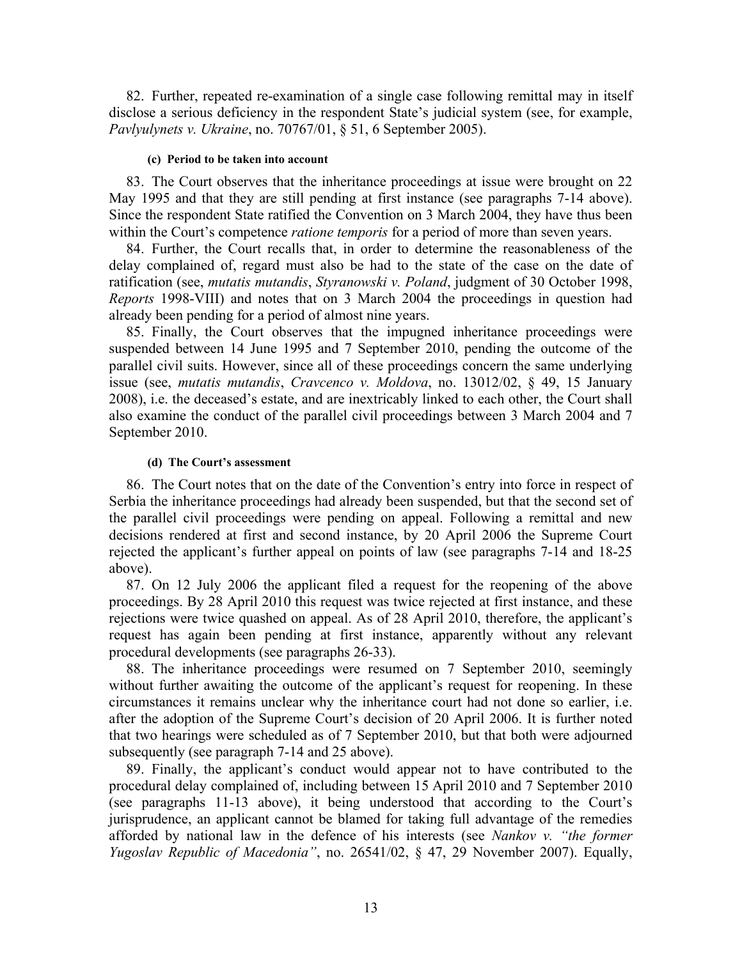82. Further, repeated re-examination of a single case following remittal may in itself disclose a serious deficiency in the respondent State's judicial system (see, for example, *Pavlyulynets v. Ukraine*, no. 70767/01, § 51, 6 September 2005).

#### **(c) Period to be taken into account**

83. The Court observes that the inheritance proceedings at issue were brought on 22 May 1995 and that they are still pending at first instance (see paragraphs 7-14 above). Since the respondent State ratified the Convention on 3 March 2004, they have thus been within the Court's competence *ratione temporis* for a period of more than seven years.

84. Further, the Court recalls that, in order to determine the reasonableness of the delay complained of, regard must also be had to the state of the case on the date of ratification (see, *mutatis mutandis*, *Styranowski v. Poland*, judgment of 30 October 1998, *Reports* 1998-VIII) and notes that on 3 March 2004 the proceedings in question had already been pending for a period of almost nine years.

85. Finally, the Court observes that the impugned inheritance proceedings were suspended between 14 June 1995 and 7 September 2010, pending the outcome of the parallel civil suits. However, since all of these proceedings concern the same underlying issue (see, *mutatis mutandis*, *Cravcenco v. Moldova*, no. 13012/02, § 49, 15 January 2008), i.e. the deceased's estate, and are inextricably linked to each other, the Court shall also examine the conduct of the parallel civil proceedings between 3 March 2004 and 7 September 2010.

#### **(d) The Court's assessment**

86. The Court notes that on the date of the Convention's entry into force in respect of Serbia the inheritance proceedings had already been suspended, but that the second set of the parallel civil proceedings were pending on appeal. Following a remittal and new decisions rendered at first and second instance, by 20 April 2006 the Supreme Court rejected the applicant's further appeal on points of law (see paragraphs 7-14 and 18-25 above).

87. On 12 July 2006 the applicant filed a request for the reopening of the above proceedings. By 28 April 2010 this request was twice rejected at first instance, and these rejections were twice quashed on appeal. As of 28 April 2010, therefore, the applicant's request has again been pending at first instance, apparently without any relevant procedural developments (see paragraphs 26-33).

88. The inheritance proceedings were resumed on 7 September 2010, seemingly without further awaiting the outcome of the applicant's request for reopening. In these circumstances it remains unclear why the inheritance court had not done so earlier, i.e. after the adoption of the Supreme Court's decision of 20 April 2006. It is further noted that two hearings were scheduled as of 7 September 2010, but that both were adjourned subsequently (see paragraph 7-14 and 25 above).

89. Finally, the applicant's conduct would appear not to have contributed to the procedural delay complained of, including between 15 April 2010 and 7 September 2010 (see paragraphs 11-13 above), it being understood that according to the Court's jurisprudence, an applicant cannot be blamed for taking full advantage of the remedies afforded by national law in the defence of his interests (see *Nankov v. "the former Yugoslav Republic of Macedonia"*, no. 26541/02, § 47, 29 November 2007). Equally,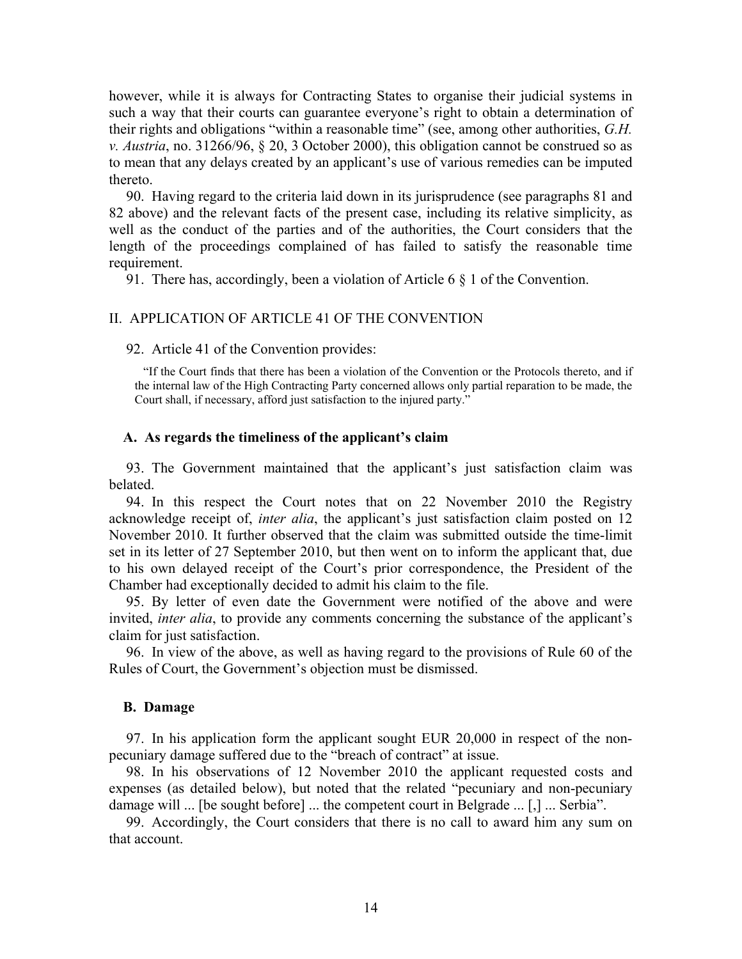however, while it is always for Contracting States to organise their judicial systems in such a way that their courts can guarantee everyone's right to obtain a determination of their rights and obligations "within a reasonable time" (see, among other authorities, *G.H. v. Austria*, no. 31266/96, § 20, 3 October 2000), this obligation cannot be construed so as to mean that any delays created by an applicant's use of various remedies can be imputed thereto.

90. Having regard to the criteria laid down in its jurisprudence (see paragraphs 81 and 82 above) and the relevant facts of the present case, including its relative simplicity, as well as the conduct of the parties and of the authorities, the Court considers that the length of the proceedings complained of has failed to satisfy the reasonable time requirement.

91. There has, accordingly, been a violation of Article 6 § 1 of the Convention.

#### II. APPLICATION OF ARTICLE 41 OF THE CONVENTION

92. Article 41 of the Convention provides:

"If the Court finds that there has been a violation of the Convention or the Protocols thereto, and if the internal law of the High Contracting Party concerned allows only partial reparation to be made, the Court shall, if necessary, afford just satisfaction to the injured party."

#### **A. As regards the timeliness of the applicant's claim**

93. The Government maintained that the applicant's just satisfaction claim was belated.

94. In this respect the Court notes that on 22 November 2010 the Registry acknowledge receipt of, *inter alia*, the applicant's just satisfaction claim posted on 12 November 2010. It further observed that the claim was submitted outside the time-limit set in its letter of 27 September 2010, but then went on to inform the applicant that, due to his own delayed receipt of the Court's prior correspondence, the President of the Chamber had exceptionally decided to admit his claim to the file.

95. By letter of even date the Government were notified of the above and were invited, *inter alia*, to provide any comments concerning the substance of the applicant's claim for just satisfaction.

96. In view of the above, as well as having regard to the provisions of Rule 60 of the Rules of Court, the Government's objection must be dismissed.

#### **B. Damage**

97. In his application form the applicant sought EUR 20,000 in respect of the nonpecuniary damage suffered due to the "breach of contract" at issue.

98. In his observations of 12 November 2010 the applicant requested costs and expenses (as detailed below), but noted that the related "pecuniary and non-pecuniary damage will ... [be sought before] ... the competent court in Belgrade ... [,] ... Serbia".

99. Accordingly, the Court considers that there is no call to award him any sum on that account.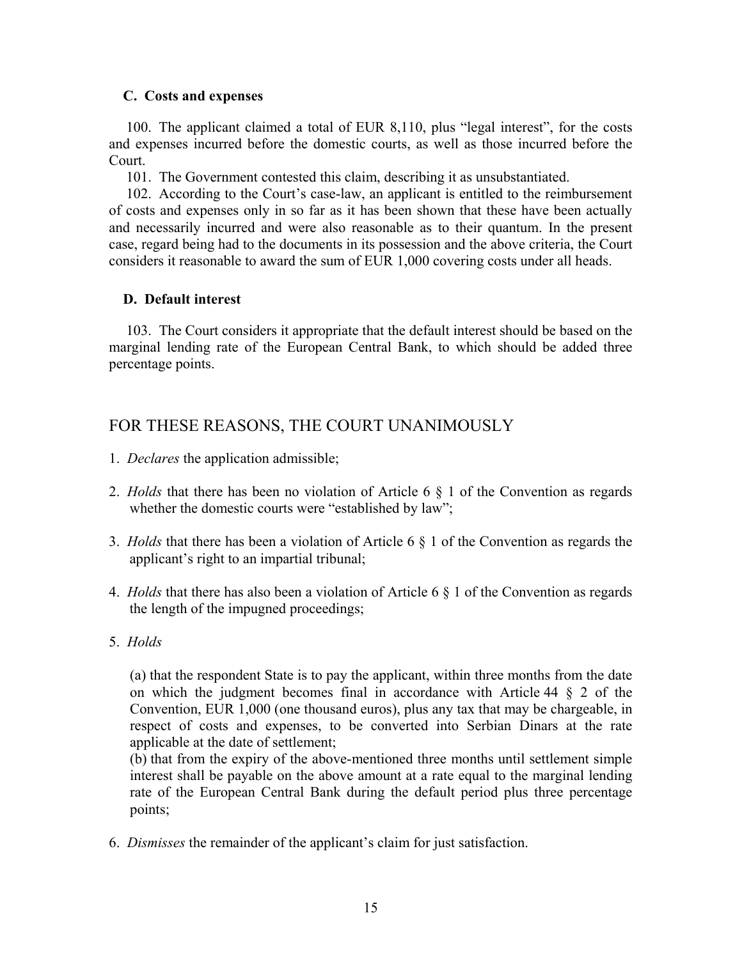## **C. Costs and expenses**

100. The applicant claimed a total of EUR 8,110, plus "legal interest", for the costs and expenses incurred before the domestic courts, as well as those incurred before the Court.

101. The Government contested this claim, describing it as unsubstantiated.

102. According to the Court's case-law, an applicant is entitled to the reimbursement of costs and expenses only in so far as it has been shown that these have been actually and necessarily incurred and were also reasonable as to their quantum. In the present case, regard being had to the documents in its possession and the above criteria, the Court considers it reasonable to award the sum of EUR 1,000 covering costs under all heads.

## **D. Default interest**

103. The Court considers it appropriate that the default interest should be based on the marginal lending rate of the European Central Bank, to which should be added three percentage points.

## FOR THESE REASONS, THE COURT UNANIMOUSLY

- 1. *Declares* the application admissible;
- 2. *Holds* that there has been no violation of Article 6 § 1 of the Convention as regards whether the domestic courts were "established by law";
- 3. *Holds* that there has been a violation of Article 6 § 1 of the Convention as regards the applicant's right to an impartial tribunal;
- 4. *Holds* that there has also been a violation of Article 6 § 1 of the Convention as regards the length of the impugned proceedings;
- 5. *Holds*

(a) that the respondent State is to pay the applicant, within three months from the date on which the judgment becomes final in accordance with Article 44 § 2 of the Convention, EUR 1,000 (one thousand euros), plus any tax that may be chargeable, in respect of costs and expenses, to be converted into Serbian Dinars at the rate applicable at the date of settlement;

(b) that from the expiry of the above-mentioned three months until settlement simple interest shall be payable on the above amount at a rate equal to the marginal lending rate of the European Central Bank during the default period plus three percentage points;

6. *Dismisses* the remainder of the applicant's claim for just satisfaction.